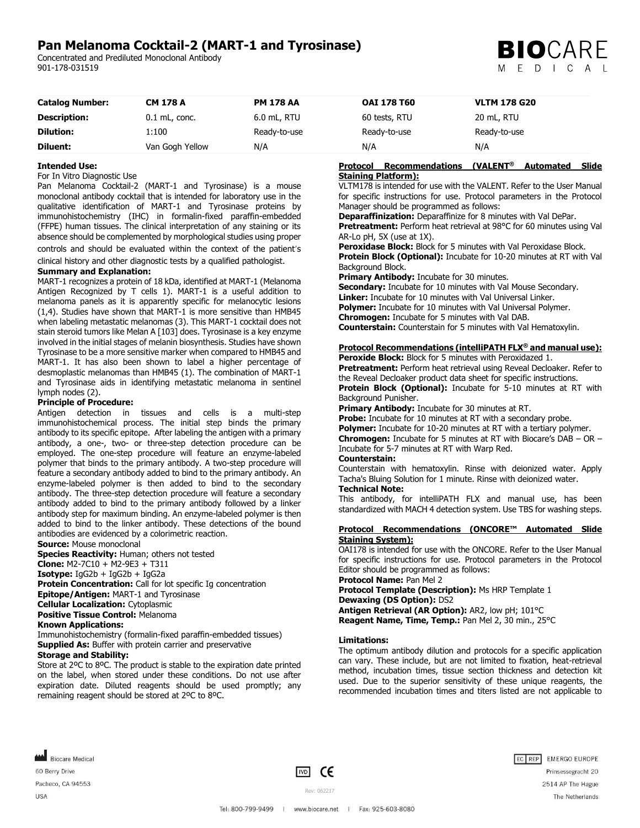# **Pan Melanoma Cocktail-2 (MART-1 and Tyrosinase)**

Concentrated and Prediluted Monoclonal Antibody 901-178-031519



| <b>Catalog Number:</b> | <b>CM 178 A</b> | <b>PM 178 AA</b> | <b>OAI 178 T60</b> | <b>VLTM 178 G20</b> |
|------------------------|-----------------|------------------|--------------------|---------------------|
| <b>Description:</b>    | $0.1$ mL, conc. | $6.0$ mL, RTU    | 60 tests, RTU      | 20 mL, RTU          |
| <b>Dilution:</b>       | 1:100           | Ready-to-use     | Ready-to-use       | Ready-to-use        |
| Diluent:               | Van Gogh Yellow | N/A              | N/A                | N/A                 |

### **Intended Use:**

#### For In Vitro Diagnostic Use

Pan Melanoma Cocktail-2 (MART-1 and Tyrosinase) is a mouse monoclonal antibody cocktail that is intended for laboratory use in the qualitative identification of MART-1 and Tyrosinase proteins by immunohistochemistry (IHC) in formalin-fixed paraffin-embedded (FFPE) human tissues. The clinical interpretation of any staining or its absence should be complemented by morphological studies using proper

controls and should be evaluated within the context of the patient's clinical history and other diagnostic tests by a qualified pathologist.

# **Summary and Explanation:**

MART-1 recognizes a protein of 18 kDa, identified at MART-1 (Melanoma Antigen Recognized by T cells 1). MART-1 is a useful addition to melanoma panels as it is apparently specific for melanocytic lesions (1,4). Studies have shown that MART-1 is more sensitive than HMB45 when labeling metastatic melanomas (3). This MART-1 cocktail does not stain steroid tumors like Melan A [103] does. Tyrosinase is a key enzyme involved in the initial stages of melanin biosynthesis. Studies have shown Tyrosinase to be a more sensitive marker when compared to HMB45 and MART-1. It has also been shown to label a higher percentage of desmoplastic melanomas than HMB45 (1). The combination of MART-1 and Tyrosinase aids in identifying metastatic melanoma in sentinel lymph nodes (2).

#### **Principle of Procedure:**

Antigen detection in tissues and cells is a multi-step immunohistochemical process. The initial step binds the primary antibody to its specific epitope. After labeling the antigen with a primary antibody, a one-, two- or three-step detection procedure can be employed. The one-step procedure will feature an enzyme-labeled polymer that binds to the primary antibody. A two-step procedure will feature a secondary antibody added to bind to the primary antibody. An enzyme-labeled polymer is then added to bind to the secondary antibody. The three-step detection procedure will feature a secondary antibody added to bind to the primary antibody followed by a linker antibody step for maximum binding. An enzyme-labeled polymer is then added to bind to the linker antibody. These detections of the bound antibodies are evidenced by a colorimetric reaction.

**Source:** Mouse monoclonal

**Species Reactivity:** Human; others not tested

**Clone:** M2-7C10 + M2-9E3 + T311

**Isotype:**  $IqG2b + IqG2b + IqG2a$ 

**Protein Concentration:** Call for lot specific Ig concentration

**Epitope/Antigen:** MART-1 and Tyrosinase

**Cellular Localization:** Cytoplasmic

**Positive Tissue Control:** Melanoma

## **Known Applications:**

Immunohistochemistry (formalin-fixed paraffin-embedded tissues) **Supplied As:** Buffer with protein carrier and preservative

## **Storage and Stability:**

Store at 2ºC to 8ºC. The product is stable to the expiration date printed on the label, when stored under these conditions. Do not use after expiration date. Diluted reagents should be used promptly; any remaining reagent should be stored at 2ºC to 8ºC.

### **Protocol Recommendations (VALENT® Automated Slide Staining Platform):**

VLTM178 is intended for use with the VALENT. Refer to the User Manual for specific instructions for use. Protocol parameters in the Protocol Manager should be programmed as follows:

**Deparaffinization:** Deparaffinize for 8 minutes with Val DePar. **Pretreatment:** Perform heat retrieval at 98°C for 60 minutes using Val AR-Lo pH, 5X (use at 1X).

**Peroxidase Block:** Block for 5 minutes with Val Peroxidase Block. **Protein Block (Optional):** Incubate for 10-20 minutes at RT with Val Background Block.

**Primary Antibody:** Incubate for 30 minutes.

**Secondary:** Incubate for 10 minutes with Val Mouse Secondary. **Linker:** Incubate for 10 minutes with Val Universal Linker. **Polymer:** Incubate for 10 minutes with Val Universal Polymer. **Chromogen:** Incubate for 5 minutes with Val DAB. **Counterstain:** Counterstain for 5 minutes with Val Hematoxylin.

## **Protocol Recommendations (intelliPATH FLX® and manual use):**

**Peroxide Block:** Block for 5 minutes with Peroxidazed 1. **Pretreatment:** Perform heat retrieval using Reveal Decloaker. Refer to the Reveal Decloaker product data sheet for specific instructions. **Protein Block (Optional):** Incubate for 5-10 minutes at RT with Background Punisher.

**Primary Antibody:** Incubate for 30 minutes at RT.

**Probe:** Incubate for 10 minutes at RT with a secondary probe. **Polymer:** Incubate for 10-20 minutes at RT with a tertiary polymer. **Chromogen:** Incubate for 5 minutes at RT with Biocare's DAB – OR – Incubate for 5-7 minutes at RT with Warp Red.

### **Counterstain:**

Counterstain with hematoxylin. Rinse with deionized water. Apply Tacha's Bluing Solution for 1 minute. Rinse with deionized water. **Technical Note:**

This antibody, for intelliPATH FLX and manual use, has been standardized with MACH 4 detection system. Use TBS for washing steps.

#### **Protocol Recommendations (ONCORE™ Automated Slide Staining System):**

OAI178 is intended for use with the ONCORE. Refer to the User Manual for specific instructions for use. Protocol parameters in the Protocol Editor should be programmed as follows:

**Protocol Name:** Pan Mel 2

**Protocol Template (Description):** Ms HRP Template 1 **Dewaxing (DS Option):** DS2 **Antigen Retrieval (AR Option):** AR2, low pH; 101°C

**Reagent Name, Time, Temp.:** Pan Mel 2, 30 min., 25°C

#### **Limitations:**

The optimum antibody dilution and protocols for a specific application can vary. These include, but are not limited to fixation, heat-retrieval method, incubation times, tissue section thickness and detection kit used. Due to the superior sensitivity of these unique reagents, the recommended incubation times and titers listed are not applicable to